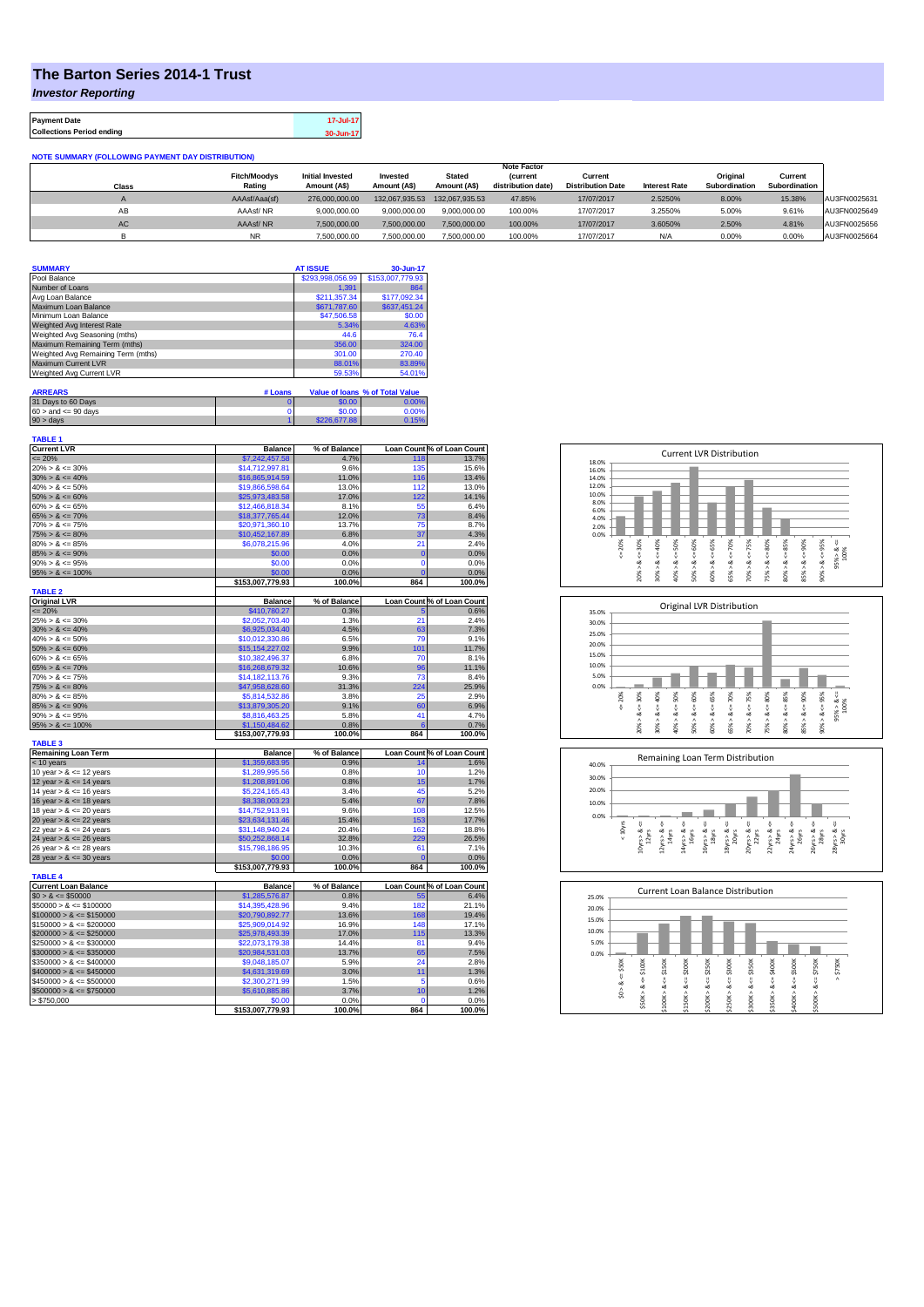## **The Barton Series 2014-1 Trust**

*Investor Reporting*

| <b>Payment Date</b>              | 17-Jul-17 |
|----------------------------------|-----------|
| <b>Collections Period ending</b> | 30-Jun-17 |

**NOTE SUMMARY (FOLLOWING PAYMENT DAY DISTRIBUTION)**

|              |                     | <b>Note Factor</b>      |                |                |                    |                          |                      |               |               |              |
|--------------|---------------------|-------------------------|----------------|----------------|--------------------|--------------------------|----------------------|---------------|---------------|--------------|
|              | <b>Fitch/Moodys</b> | <b>Initial Invested</b> | Invested       | <b>Stated</b>  | <b>Current</b>     | Current                  |                      | Original      | Current       |              |
| <b>Class</b> | Rating              | Amount (A\$)            | Amount (A\$)   | Amount (A\$)   | distribution date) | <b>Distribution Date</b> | <b>Interest Rate</b> | Subordination | Subordination |              |
|              | AAAsf/Aaa(sf)       | 276.000.000.00          | 132.067.935.53 | 132.067.935.53 | 47.85%             | 17/07/2017               | 2.5250%              | 8.00%         | 15.38%        | AU3FN0025631 |
| AB           | AAAsf/NR            | 9.000.000.00            | 9.000.000.00   | 9.000.000.00   | 100.00%            | 17/07/2017               | 3.2550%              | 5.00%         | 9.61%         | AU3FN0025649 |
| AC.          | AAAsf/NR            | 7.500.000.00            | 7.500.000.00   | 7.500.000.00   | 100.00%            | 17/07/2017               | 3.6050%              | 2.50%         | 4.81%         | AU3FN0025656 |
|              | <b>NR</b>           | 7.500.000.00            | 7.500.000.00   | 7.500.000.00   | 100.00%            | 17/07/2017               | N/A                  | 0.00%         | 0.00%         | AU3FN0025664 |

| <b>SUMMARY</b>                     |         | <b>AT ISSUE</b>  | 30-Jun-17                       |
|------------------------------------|---------|------------------|---------------------------------|
| Pool Balance                       |         | \$293,998,056.99 | \$153,007,779.93                |
| Number of Loans                    |         | 1.391            | 864                             |
| Avg Loan Balance                   |         | \$211,357.34     | \$177,092.34                    |
| Maximum Loan Balance               |         | \$671,787.60     | \$637,451.24                    |
| Minimum Loan Balance               |         | \$47,506.58      | \$0.00                          |
| Weighted Avg Interest Rate         |         | 5.34%            | 4.63%                           |
| Weighted Avg Seasoning (mths)      |         | 44.6             | 76.4                            |
| Maximum Remaining Term (mths)      |         | 356.00           | 324.00                          |
| Weighted Avg Remaining Term (mths) |         | 301.00           | 270.40                          |
| Maximum Current LVR                |         | 88.01%           | 83.89%                          |
| Weighted Avg Current LVR           |         | 59.53%           | 54.01%                          |
|                                    |         |                  |                                 |
| <b>ARREARS</b>                     | # Loans |                  | Value of Ioans % of Total Value |
| 31 Days to 60 Days                 | O       | \$0.00           | 0.00%                           |
| $60 >$ and $\leq 90$ days          |         | \$0.00           | 0.00%                           |
| $90 > \text{days}$                 |         | \$226,677.88     | 0.15%                           |

| <b>TABLE 1</b><br><b>Current LVR</b>       | <b>Balance</b>                     | % of Balance   |                   | Loan Count % of Loan Count |
|--------------------------------------------|------------------------------------|----------------|-------------------|----------------------------|
| $= 20%$                                    | \$7,242,457.58                     | 4.7%           |                   | 13.7%                      |
| $20\% > 8 \le 30\%$                        |                                    | 9.6%           | 118<br>135        |                            |
| $30\% > 8 \le 40\%$                        | \$14,712,997.81<br>\$16,865,914.59 | 11.0%          | 116               | 15.6%<br>13.4%             |
| $40\% > 8 \le 50\%$                        |                                    |                |                   |                            |
|                                            | \$19,866,598.64                    | 13.0%          | 112<br>122        | 13.0%                      |
| $50\% > 8 \le 60\%$                        | \$25,973,483.58                    | 17.0%          |                   | 14.1%                      |
| $60\% > 8 \le 65\%$                        | \$12,466,818.34                    | 8.1%           | 55                | 6.4%                       |
| $65\% > 8 \le 70\%$                        | \$18,377,765.44                    | 12.0%          | 73                | 8.4%                       |
| $70\% > 8 \le 75\%$                        | \$20.971.360.10                    | 13.7%          | 75                | 8.7%                       |
| $75\% > 8 \le 80\%$                        | \$10,452,167.89                    | 6.8%           | 37                | 4.3%                       |
| $80\% > 8 \le 85\%$                        | \$6,078,215.96                     | 4.0%           | 21                | 2.4%                       |
| $85\% > 8 \le 90\%$                        | \$0.00                             | 0.0%           | $\overline{0}$    | 0.0%                       |
| $90\% > 8 \le 95\%$                        | \$0.00                             | 0.0%           | $\mathbf 0$       | 0.0%                       |
| $95\% > 8 \le 100\%$                       | \$0.00                             | 0.0%           | f                 | 0.0%                       |
| <b>TABLE 2</b>                             | \$153,007,779.93                   | 100.0%         | 864               | 100.0%                     |
| <b>Original LVR</b>                        | <b>Balance</b>                     | % of Balance   |                   | Loan Count % of Loan Count |
| $\leq$ 20%                                 | \$410,780.27                       | 0.3%           |                   | 0.6%                       |
| $25\% > 8 \le 30\%$                        | \$2,052,703.40                     | 1.3%           | 21                | 2.4%                       |
| $30\% > 8 \le 40\%$                        | \$6,925,034.40                     | 4.5%           | 63                | 7.3%                       |
| $40\% > 8 \le 50\%$                        |                                    | 6.5%           | 79                | 9.1%                       |
| $50\% > 8 \le 60\%$                        | \$10,012,330.86<br>\$15,154,227.02 | 9.9%           | 101               |                            |
| $60\% > 8 \le 65\%$                        | \$10,382,496.37                    | 6.8%           | 70                | 11.7%<br>8.1%              |
|                                            |                                    |                | 96                |                            |
| $65\% > 8 \le 70\%$<br>$70\% > 8 \le 75\%$ | \$16,268,679.32                    | 10.6%<br>9.3%  | 73                | 11.1%<br>8.4%              |
|                                            | \$14,182,113.76                    | 31.3%          | 224               | 25.9%                      |
| $75\% > 8 \le 80\%$                        | \$47,958,628.60                    |                |                   |                            |
| $80\% > 8 \le 85\%$                        | \$5,814,532.86                     | 3.8%           | 25                | 2.9%                       |
| $85\% > 8 \le 90\%$                        | \$13,879,305.20                    | 9.1%           | 60<br>41          | 6.9%                       |
| $90\% > 8 \le 95\%$                        | \$8,816,463.25                     | 5.8%           |                   | 4.7%                       |
| $95\% > 8 \le 100\%$                       | \$1,150,484.62<br>\$153,007,779.93 | 0.8%<br>100.0% | $\epsilon$<br>864 | 0.7%<br>100.0%             |
| <b>TABLE 3</b>                             |                                    |                |                   |                            |
| <b>Remaining Loan Term</b>                 | <b>Balance</b>                     | % of Balance   |                   | Loan Count % of Loan Count |
| $<$ 10 years                               | \$1,359,683.95                     | 0.9%           | 14                | 1.6%                       |
| 10 year $> 8 \le 12$ years                 | \$1,289,995.56                     | 0.8%           | 10                | 1.2%                       |
| 12 year $> 8 \le 14$ years                 | \$1,208,891.06                     | 0.8%           | 15                | 1.7%                       |
| 14 year $> 8 \le 16$ years                 | \$5,224,165.43                     | 3.4%           | 45                | 5.2%                       |
| 16 year $> 8 \le 18$ years                 | \$8,338,003.23                     | 5.4%           | 67                | 7.8%                       |
| 18 year $> 8 \le 20$ years                 | \$14,752,913.91                    | 9.6%           | 108               | 12.5%                      |
| 20 year $> 8 \le 22$ years                 | \$23,634,131.46                    | 15.4%          | 153               | 17.7%                      |
| 22 year $> 8 \le 24$ years                 | \$31,148,940.24                    | 20.4%          | 162               | 18.8%                      |
| 24 year $> 8 \le 26$ years                 | \$50,252,868.14                    | 32.8%          | 229               | 26.5%                      |
| 26 year $> 8 \le 28$ years                 | \$15,798,186.95                    | 10.3%          | 61                | 7.1%                       |
| 28 year $> 8 \le 30$ years                 | \$0.00                             | 0.0%           | C                 | 0.0%                       |
|                                            | \$153,007,779.93                   | 100.0%         | 864               | 100.0%                     |
| <b>TABLE 4</b>                             |                                    |                |                   |                            |
| <b>Current Loan Balance</b>                | <b>Balance</b>                     | % of Balance   |                   | Loan Count % of Loan Count |
| $$0 > 8 \leq $50000$                       | \$1,285,576.87                     | 0.8%           | 55                | 6.4%                       |
| $$50000 > 8 \le $100000$                   | \$14,395,428.96                    | 9.4%           | 182               | 21.1%                      |
| $$100000 > 8 \le $150000$                  | \$20,790,892.77                    | 13.6%          | 168               | 19.4%                      |
| $$150000 > 8 \le $200000$                  | \$25,909,014.92                    | 16.9%          | 148               | 17.1%                      |
| $$200000 > 8 \leq $250000$                 | \$25,978,493.39                    | 17.0%          | 115               | 13.3%                      |
| $$250000 > 8 \le $300000$                  | \$22,073,179.38                    | 14.4%          | 81                | 9.4%                       |
| $$300000 > 8 \leq $350000$                 | \$20,984,531.03                    | 13.7%          | 65                | 7.5%                       |
| $$350000 > 8 \le $400000$                  | \$9,048,185.07                     | 5.9%           | 24                | 2.8%                       |
| $$400000 > 8 \leq $450000$                 | \$4,631,319.69                     | 3.0%           | 11                | 1.3%                       |
| $$450000 > 8 \le $500000$                  | \$2,300,271.99                     | 1.5%           | 5                 | 0.6%                       |
| $$500000 > 8 \le $750000$                  | \$5,610,885.86                     | 3.7%           | 10                | 1.2%                       |
| > \$750,000                                | \$0.00                             | 0.0%           | n                 | 0.0%                       |
|                                            | \$153,007,779.93                   | 100.0%         | 864               | 100.0%                     |
|                                            |                                    |                |                   |                            |







| 25.0% |       |        |        |         | <b>Current Loan Balance Distribution</b> |         |        |                      |        |         |          |
|-------|-------|--------|--------|---------|------------------------------------------|---------|--------|----------------------|--------|---------|----------|
| 20.0% |       |        |        |         |                                          |         |        |                      |        |         |          |
| 15.0% |       |        |        |         |                                          |         |        |                      |        |         |          |
| 10.0% |       |        |        |         |                                          |         |        |                      |        |         |          |
| 5.0%  |       |        |        |         |                                          |         |        |                      |        |         |          |
| 0.0%  |       |        |        |         |                                          |         |        |                      |        |         |          |
|       | \$50K | \$100K | \$150K | \$200K  | \$250K                                   | \$300K  | \$350K | \$400K               | \$500K | \$750K  | \$750K   |
|       | ű     | ő      | U      | V       |                                          | ű       | ₩      | $\frac{1}{\sqrt{2}}$ | ₩      | ű       | $\wedge$ |
|       | ಯ     | ∞      | œ      | ∞       | œ                                        | ઌ       | œ      | ∞                    | œ      | ∞       |          |
|       | S.    | \$50K> | Λ      | \$150K> |                                          | \$250K> | л      | \$350K>              |        | \$500K> |          |
|       |       |        | \$100K |         | \$200K                                   |         | \$300K |                      | \$400K |         |          |